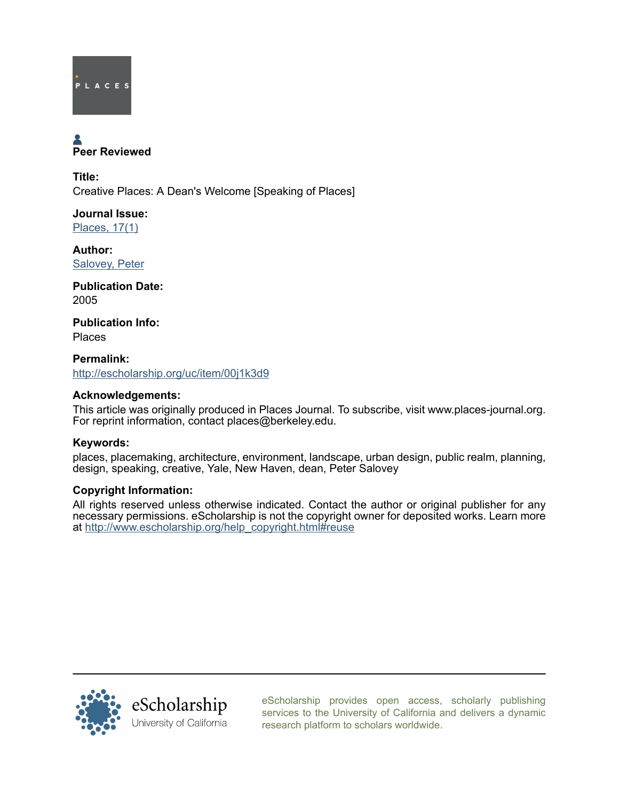

# Peer Reviewed

Title: Creative Places: A Dean's Welcome [Speaking of Places]

Journal Issue: [Places, 17\(1\)](http://escholarship.org/uc/ced_places?volume=17;issue=1)

Author: [Salovey, Peter](http://escholarship.org/uc/search?creator=Salovey%2C%20Peter)

Publication Date: 2005

Publication Info: Places

Permalink: <http://escholarship.org/uc/item/00j1k3d9>

#### Acknowledgements:

This article was originally produced in Places Journal. To subscribe, visit www.places-journal.org. For reprint information, contact places@berkeley.edu.

### Keywords:

places, placemaking, architecture, environment, landscape, urban design, public realm, planning, design, speaking, creative, Yale, New Haven, dean, Peter Salovey

#### Copyright Information:

All rights reserved unless otherwise indicated. Contact the author or original publisher for any necessary permissions. eScholarship is not the copyright owner for deposited works. Learn more at [http://www.escholarship.org/help\\_copyright.html#reuse](http://www.escholarship.org/help_copyright.html#reuse)



[eScholarship provides open access, scholarly publishing](http://escholarship.org) [services to the University of California and delivers a dynamic](http://escholarship.org) [research platform to scholars worldwide.](http://escholarship.org)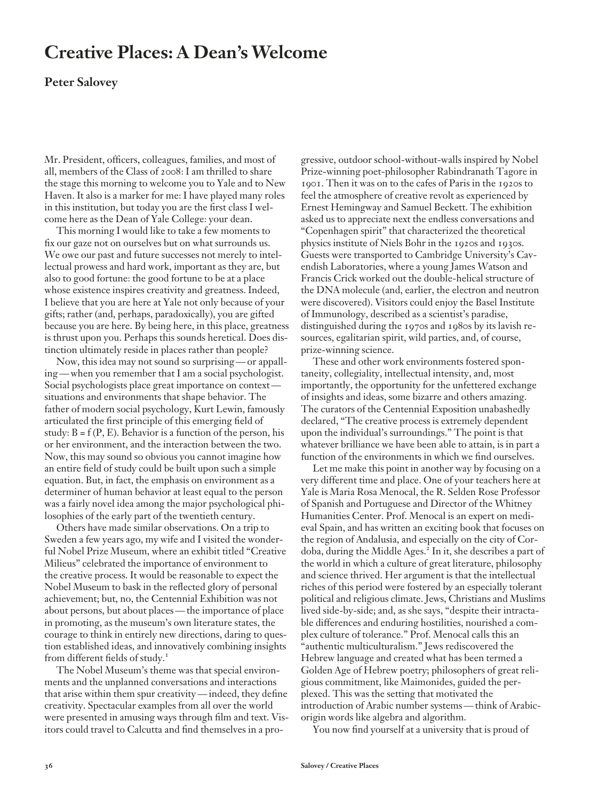## **Creative Places: A Dean's Welcome**

#### **Peter Salovey**

Mr. President, officers, colleagues, families, and most of all, members of the Class of 2008: I am thrilled to share the stage this morning to welcome you to Yale and to New Haven. It also is a marker for me: I have played many roles in this institution, but today you are the first class I welcome here as the Dean of Yale College: your dean.

This morning I would like to take a few moments to fix our gaze not on ourselves but on what surrounds us. We owe our past and future successes not merely to intellectual prowess and hard work, important as they are, but also to good fortune: the good fortune to be at a place whose existence inspires creativity and greatness. Indeed, I believe that you are here at Yale not only because of your gifts; rather (and, perhaps, paradoxically), you are gifted because you are here. By being here, in this place, greatness is thrust upon you. Perhaps this sounds heretical. Does distinction ultimately reside in places rather than people?

Now, this idea may not sound so surprising — or appalling — when you remember that I am a social psychologist. Social psychologists place great importance on context situations and environments that shape behavior. The father of modern social psychology, Kurt Lewin, famously articulated the first principle of this emerging field of study:  $B = f(P, E)$ . Behavior is a function of the person, his or her environment, and the interaction between the two. Now, this may sound so obvious you cannot imagine how an entire field of study could be built upon such a simple equation. But, in fact, the emphasis on environment as a determiner of human behavior at least equal to the person was a fairly novel idea among the major psychological philosophies of the early part of the twentieth century.

Others have made similar observations. On a trip to Sweden a few years ago, my wife and I visited the wonderful Nobel Prize Museum, where an exhibit titled "Creative Milieus" celebrated the importance of environment to the creative process. It would be reasonable to expect the Nobel Museum to bask in the reflected glory of personal achievement; but, no, the Centennial Exhibition was not about persons, but about places — the importance of place in promoting, as the museum's own literature states, the courage to think in entirely new directions, daring to question established ideas, and innovatively combining insights from different fields of study.<sup>1</sup>

The Nobel Museum's theme was that special environments and the unplanned conversations and interactions that arise within them spur creativity—indeed, they define creativity. Spectacular examples from all over the world were presented in amusing ways through film and text. Visitors could travel to Calcutta and find themselves in a progressive, outdoor school-without-walls inspired by Nobel Prize-winning poet-philosopher Rabindranath Tagore in 1901. Then it was on to the cafes of Paris in the 1920s to feel the atmosphere of creative revolt as experienced by Ernest Hemingway and Samuel Beckett. The exhibition asked us to appreciate next the endless conversations and "Copenhagen spirit" that characterized the theoretical physics institute of Niels Bohr in the 1920s and 1930s. Guests were transported to Cambridge University's Cavendish Laboratories, where a young James Watson and Francis Crick worked out the double-helical structure of the DNA molecule (and, earlier, the electron and neutron were discovered). Visitors could enjoy the Basel Institute of Immunology, described as a scientist's paradise, distinguished during the 1970s and 1980s by its lavish resources, egalitarian spirit, wild parties, and, of course, prize-winning science.

These and other work environments fostered spontaneity, collegiality, intellectual intensity, and, most importantly, the opportunity for the unfettered exchange of insights and ideas, some bizarre and others amazing. The curators of the Centennial Exposition unabashedly declared, "The creative process is extremely dependent upon the individual's surroundings." The point is that whatever brilliance we have been able to attain, is in part a function of the environments in which we find ourselves.

Let me make this point in another way by focusing on a very different time and place. One of your teachers here at Yale is Maria Rosa Menocal, the R. Selden Rose Professor of Spanish and Portuguese and Director of the Whitney Humanities Center. Prof. Menocal is an expert on medieval Spain, and has written an exciting book that focuses on the region of Andalusia, and especially on the city of Cordoba, during the Middle Ages.<sup>2</sup> In it, she describes a part of the world in which a culture of great literature, philosophy and science thrived. Her argument is that the intellectual riches of this period were fostered by an especially tolerant political and religious climate. Jews, Christians and Muslims lived side-by-side; and, as she says, "despite their intractable differences and enduring hostilities, nourished a complex culture of tolerance." Prof. Menocal calls this an "authentic multiculturalism." Jews rediscovered the Hebrew language and created what has been termed a Golden Age of Hebrew poetry; philosophers of great religious commitment, like Maimonides, guided the perplexed. This was the setting that motivated the introduction of Arabic number systems — think of Arabicorigin words like algebra and algorithm.

You now find yourself at a university that is proud of